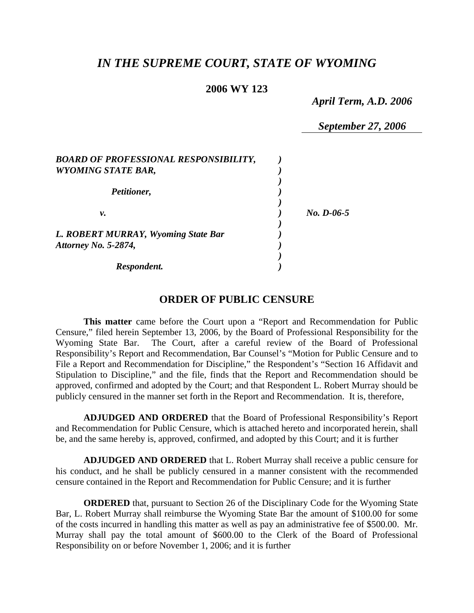# *IN THE SUPREME COURT, STATE OF WYOMING*

#### **2006 WY 123**

*April Term, A.D. 2006* 

*September 27, 2006* 

| <b>BOARD OF PROFESSIONAL RESPONSIBILITY,</b><br><b>WYOMING STATE BAR,</b> |              |
|---------------------------------------------------------------------------|--------------|
| Petitioner,                                                               |              |
| ν.                                                                        | $No. D-06-5$ |
| L. ROBERT MURRAY, Wyoming State Bar<br><b>Attorney No. 5-2874,</b>        |              |
| Respondent.                                                               |              |

## **ORDER OF PUBLIC CENSURE**

**This matter** came before the Court upon a "Report and Recommendation for Public Censure," filed herein September 13, 2006, by the Board of Professional Responsibility for the Wyoming State Bar. The Court, after a careful review of the Board of Professional Responsibility's Report and Recommendation, Bar Counsel's "Motion for Public Censure and to File a Report and Recommendation for Discipline," the Respondent's "Section 16 Affidavit and Stipulation to Discipline," and the file, finds that the Report and Recommendation should be approved, confirmed and adopted by the Court; and that Respondent L. Robert Murray should be publicly censured in the manner set forth in the Report and Recommendation. It is, therefore,

**ADJUDGED AND ORDERED** that the Board of Professional Responsibility's Report and Recommendation for Public Censure, which is attached hereto and incorporated herein, shall be, and the same hereby is, approved, confirmed, and adopted by this Court; and it is further

**ADJUDGED AND ORDERED** that L. Robert Murray shall receive a public censure for his conduct, and he shall be publicly censured in a manner consistent with the recommended censure contained in the Report and Recommendation for Public Censure; and it is further

**ORDERED** that, pursuant to Section 26 of the Disciplinary Code for the Wyoming State Bar, L. Robert Murray shall reimburse the Wyoming State Bar the amount of \$100.00 for some of the costs incurred in handling this matter as well as pay an administrative fee of \$500.00. Mr. Murray shall pay the total amount of \$600.00 to the Clerk of the Board of Professional Responsibility on or before November 1, 2006; and it is further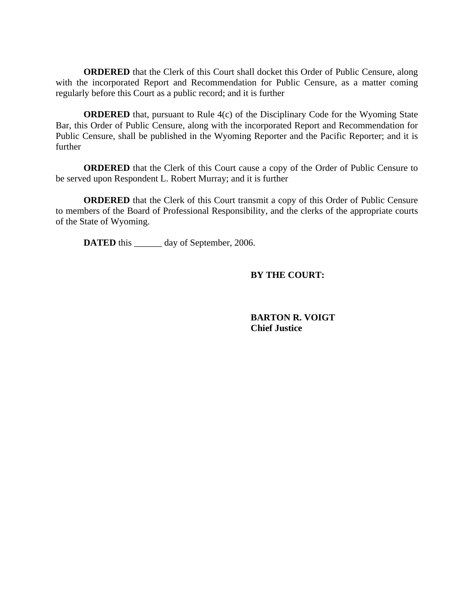**ORDERED** that the Clerk of this Court shall docket this Order of Public Censure, along with the incorporated Report and Recommendation for Public Censure, as a matter coming regularly before this Court as a public record; and it is further

**ORDERED** that, pursuant to Rule 4(c) of the Disciplinary Code for the Wyoming State Bar, this Order of Public Censure, along with the incorporated Report and Recommendation for Public Censure, shall be published in the Wyoming Reporter and the Pacific Reporter; and it is further

**ORDERED** that the Clerk of this Court cause a copy of the Order of Public Censure to be served upon Respondent L. Robert Murray; and it is further

**ORDERED** that the Clerk of this Court transmit a copy of this Order of Public Censure to members of the Board of Professional Responsibility, and the clerks of the appropriate courts of the State of Wyoming.

**DATED** this day of September, 2006.

# **BY THE COURT:**

 **BARTON R. VOIGT Chief Justice**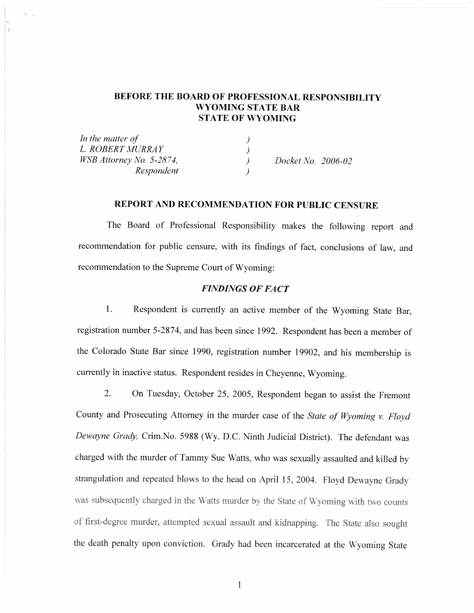## BEFORE THE BOARD OF PROFESSIONAL RESPONSIBILITY **WYOMING STATE BAR STATE OF WYOMING**

In the matter of L. ROBERT MURRAY )<br>) WSB Attorney No. 5-2874, Respondent

Docket No. 2006-02

#### REPORT AND RECOMMENDATION FOR PUBLIC CENSURE

The Board of Professional Responsibility makes the following report and recommendation for public censure, with its findings of fact, conclusions of law, and recommendation to the Supreme Court of Wyoming:

#### **FINDINGS OF FACT**

 $1.$ Respondent is currently an active member of the Wyoming State Bar, registration number 5-2874, and has been since 1992. Respondent has been a member of the Colorado State Bar since 1990, registration number 19902, and his membership is currently in inactive status. Respondent resides in Cheyenne, Wyoming.

 $\overline{2}$ . On Tuesday, October 25, 2005, Respondent began to assist the Fremont County and Prosecuting Attorney in the murder case of the State of Wyoming v. Floyd Dewayne Grady, Crim.No. 5988 (Wy. D.C. Ninth Judicial District). The defendant was charged with the murder of Tammy Sue Watts, who was sexually assaulted and killed by strangulation and repeated blows to the head on April 15, 2004. Floyd Dewayne Grady was subsequently charged in the Watts murder by the State of Wyoming with two counts of first-degree murder, attempted sexual assault and kidnapping. The State also sought the death penalty upon conviction. Grady had been incarcerated at the Wyoming State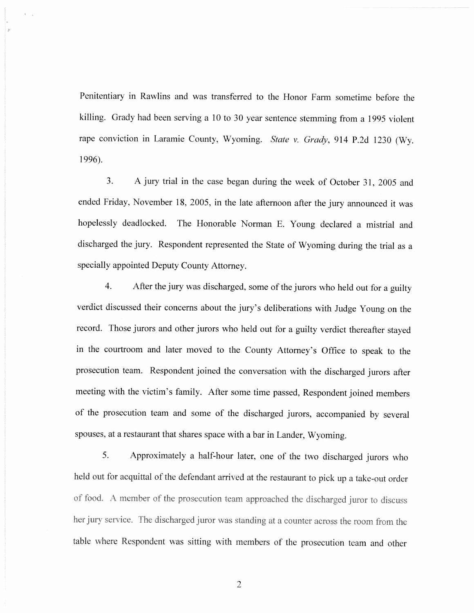Penitentiary in Rawlins and was transferred to the Honor Farm sometime before the killing. Grady had been serving a 10 to 30 year sentence stemming from a 1995 violent rape conviction in Laramie County, Wyoming. State v. Grady, 914 P.2d 1230 (Wy. 1996).

 $\overline{3}$ . A jury trial in the case began during the week of October 31, 2005 and ended Friday, November 18, 2005, in the late afternoon after the jury announced it was hopelessly deadlocked. The Honorable Norman E. Young declared a mistrial and discharged the jury. Respondent represented the State of Wyoming during the trial as a specially appointed Deputy County Attorney.

 $4.$ After the jury was discharged, some of the jurors who held out for a guilty verdict discussed their concerns about the jury's deliberations with Judge Young on the record. Those jurors and other jurors who held out for a guilty verdict thereafter stayed in the courtroom and later moved to the County Attorney's Office to speak to the prosecution team. Respondent joined the conversation with the discharged jurors after meeting with the victim's family. After some time passed, Respondent joined members of the prosecution team and some of the discharged jurors, accompanied by several spouses, at a restaurant that shares space with a bar in Lander, Wyoming.

5. Approximately a half-hour later, one of the two discharged jurors who held out for acquittal of the defendant arrived at the restaurant to pick up a take-out order of food. A member of the prosecution team approached the discharged juror to discuss her jury service. The discharged juror was standing at a counter across the room from the table where Respondent was sitting with members of the prosecution team and other

 $\overline{2}$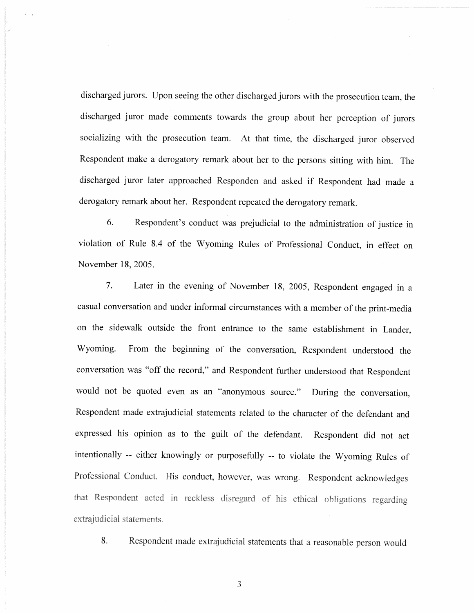discharged jurors. Upon seeing the other discharged jurors with the prosecution team, the discharged juror made comments towards the group about her perception of jurors socializing with the prosecution team. At that time, the discharged juror observed Respondent make a derogatory remark about her to the persons sitting with him. The discharged juror later approached Responden and asked if Respondent had made a derogatory remark about her. Respondent repeated the derogatory remark.

6. Respondent's conduct was prejudicial to the administration of justice in violation of Rule 8.4 of the Wyoming Rules of Professional Conduct, in effect on November 18, 2005.

7. Later in the evening of November 18, 2005, Respondent engaged in a casual conversation and under informal circumstances with a member of the print-media on the sidewalk outside the front entrance to the same establishment in Lander, Wyoming. From the beginning of the conversation, Respondent understood the conversation was "off the record," and Respondent further understood that Respondent would not be quoted even as an "anonymous source." During the conversation, Respondent made extrajudicial statements related to the character of the defendant and expressed his opinion as to the guilt of the defendant. Respondent did not act intentionally -- either knowingly or purposefully -- to violate the Wyoming Rules of Professional Conduct. His conduct, however, was wrong. Respondent acknowledges that Respondent acted in reckless disregard of his ethical obligations regarding extrajudicial statements.

8. Respondent made extrajudicial statements that a reasonable person would

3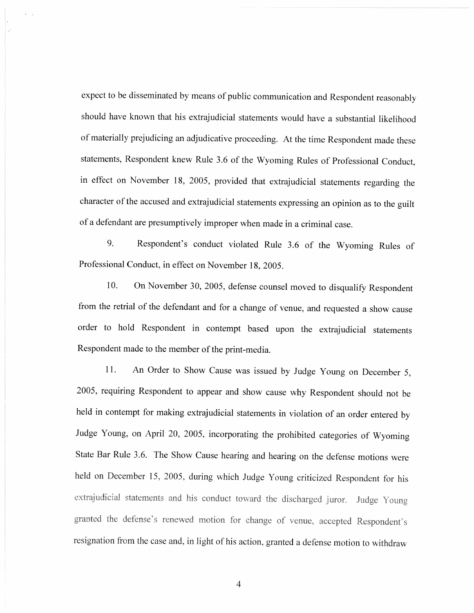expect to be disseminated by means of public communication and Respondent reasonably should have known that his extrajudicial statements would have a substantial likelihood of materially prejudicing an adjudicative proceeding. At the time Respondent made these statements, Respondent knew Rule 3.6 of the Wyoming Rules of Professional Conduct, in effect on November 18, 2005, provided that extrajudicial statements regarding the character of the accused and extrajudicial statements expressing an opinion as to the guilt of a defendant are presumptively improper when made in a criminal case.

9. Respondent's conduct violated Rule 3.6 of the Wyoming Rules of Professional Conduct, in effect on November 18, 2005.

10. On November 30, 2005, defense counsel moved to disqualify Respondent from the retrial of the defendant and for a change of venue, and requested a show cause order to hold Respondent in contempt based upon the extrajudicial statements Respondent made to the member of the print-media.

11. An Order to Show Cause was issued by Judge Young on December 5, 2005, requiring Respondent to appear and show cause why Respondent should not be held in contempt for making extrajudicial statements in violation of an order entered by Judge Young, on April 20, 2005, incorporating the prohibited categories of Wyoming State Bar Rule 3.6. The Show Cause hearing and hearing on the defense motions were held on December 15, 2005, during which Judge Young criticized Respondent for his extrajudicial statements and his conduct toward the discharged juror. Judge Young granted the defense's renewed motion for change of venue, accepted Respondent's resignation from the case and, in light of his action, granted a defense motion to withdraw

 $\overline{4}$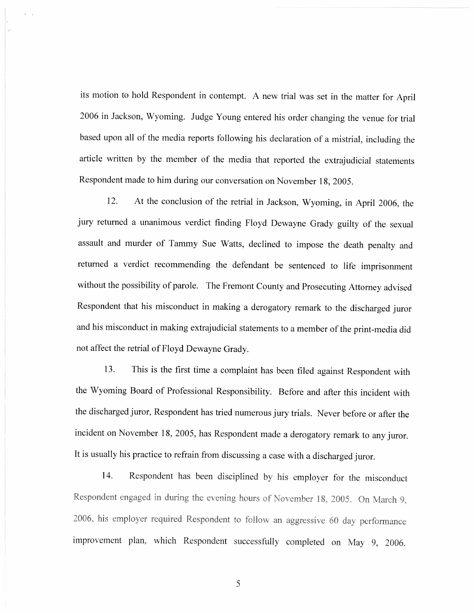its motion to hold Respondent in contempt. A new trial was set in the matter for April 2006 in Jackson, Wyoming. Judge Young entered his order changing the venue for trial based upon all of the media reports following his declaration of a mistrial, including the article written by the member of the media that reported the extrajudicial statements Respondent made to him during our conversation on November 18, 2005.

12. At the conclusion of the retrial in Jackson, Wyoming, in April 2006, the jury returned a unanimous verdict finding Floyd Dewayne Grady guilty of the sexual assault and murder of Tammy Sue Watts, declined to impose the death penalty and returned a verdict recommending the defendant be sentenced to life imprisonment without the possibility of parole. The Fremont County and Prosecuting Attorney advised Respondent that his misconduct in making a derogatory remark to the discharged juror and his misconduct in making extrajudicial statements to a member of the print-media did not affect the retrial of Floyd Dewayne Grady.

This is the first time a complaint has been filed against Respondent with 13. the Wyoming Board of Professional Responsibility. Before and after this incident with the discharged juror, Respondent has tried numerous jury trials. Never before or after the incident on November 18, 2005, has Respondent made a derogatory remark to any juror. It is usually his practice to refrain from discussing a case with a discharged juror.

Respondent has been disciplined by his employer for the misconduct 14. Respondent engaged in during the evening hours of November 18, 2005. On March 9, 2006, his employer required Respondent to follow an aggressive 60 day performance improvement plan, which Respondent successfully completed on May 9, 2006.

5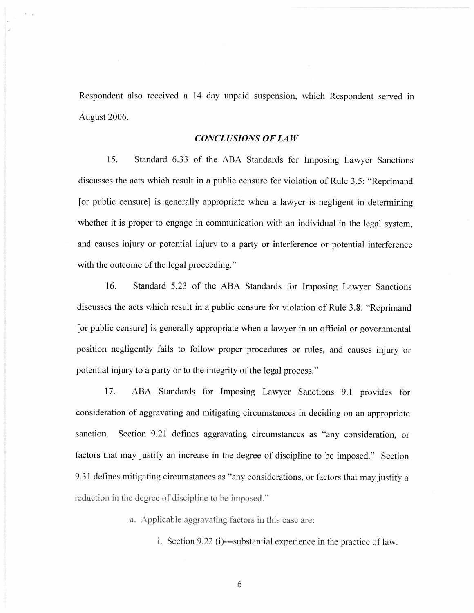Respondent also received a 14 day unpaid suspension, which Respondent served in August 2006.

#### **CONCLUSIONS OF LAW**

15. Standard 6.33 of the ABA Standards for Imposing Lawyer Sanctions discusses the acts which result in a public censure for violation of Rule 3.5: "Reprimand [or public censure] is generally appropriate when a lawyer is negligent in determining whether it is proper to engage in communication with an individual in the legal system. and causes injury or potential injury to a party or interference or potential interference with the outcome of the legal proceeding."

16. Standard 5.23 of the ABA Standards for Imposing Lawyer Sanctions discusses the acts which result in a public censure for violation of Rule 3.8: "Reprimand [or public censure] is generally appropriate when a lawyer in an official or governmental position negligently fails to follow proper procedures or rules, and causes injury or potential injury to a party or to the integrity of the legal process."

ABA Standards for Imposing Lawyer Sanctions 9.1 provides for 17. consideration of aggravating and mitigating circumstances in deciding on an appropriate sanction. Section 9.21 defines aggravating circumstances as "any consideration, or factors that may justify an increase in the degree of discipline to be imposed." Section 9.31 defines mitigating circumstances as "any considerations, or factors that may justify a reduction in the degree of discipline to be imposed."

a. Applicable aggravating factors in this case are:

i. Section 9.22 (i)---substantial experience in the practice of law.

6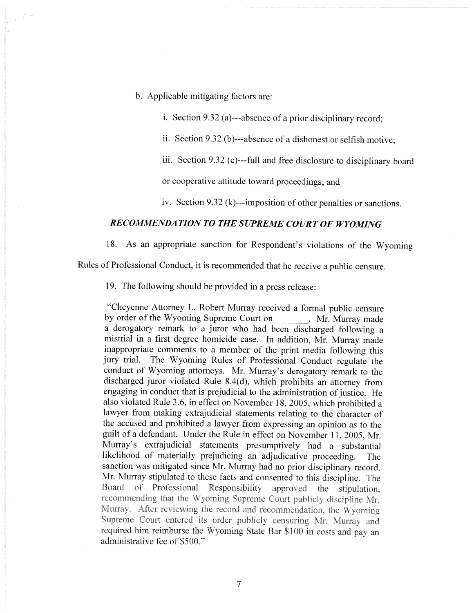- b. Applicable mitigating factors are:
	- i. Section 9.32 (a)---absence of a prior disciplinary record;
	- ii. Section 9.32 (b)---absence of a dishonest or selfish motive;
	- iii. Section 9.32 (e)---full and free disclosure to disciplinary board

or cooperative attitude toward proceedings; and

iv. Section 9.32 ( $k$ )---imposition of other penalties or sanctions.

#### RECOMMENDATION TO THE SUPREME COURT OF WYOMING

18. As an appropriate sanction for Respondent's violations of the Wyoming

Rules of Professional Conduct, it is recommended that he receive a public censure.

19. The following should be provided in a press release:

"Cheyenne Attorney L. Robert Murray received a formal public censure by order of the Wyoming Supreme Court on Mr. Murray made a derogatory remark to a juror who had been discharged following a mistrial in a first degree homicide case. In addition, Mr. Murray made inappropriate comments to a member of the print media following this jury trial. The Wyoming Rules of Professional Conduct regulate the conduct of Wyoming attorneys. Mr. Murray's derogatory remark to the discharged juror violated Rule 8.4(d), which prohibits an attorney from engaging in conduct that is prejudicial to the administration of justice. He also violated Rule 3.6, in effect on November 18, 2005, which prohibited a lawyer from making extrajudicial statements relating to the character of the accused and prohibited a lawyer from expressing an opinion as to the guilt of a defendant. Under the Rule in effect on November 11, 2005, Mr. Murray's extrajudicial statements presumptively had a substantial likelihood of materially prejudicing an adjudicative proceeding. The sanction was mitigated since Mr. Murray had no prior disciplinary record. Mr. Murray stipulated to these facts and consented to this discipline. The Board of Professional Responsibility approved the stipulation. recommending that the Wyoming Supreme Court publicly discipline Mr. Murray. After reviewing the record and recommendation, the Wyoming Supreme Court entered its order publicly censuring Mr. Murray and required him reimburse the Wyoming State Bar \$100 in costs and pay an administrative fee of \$500."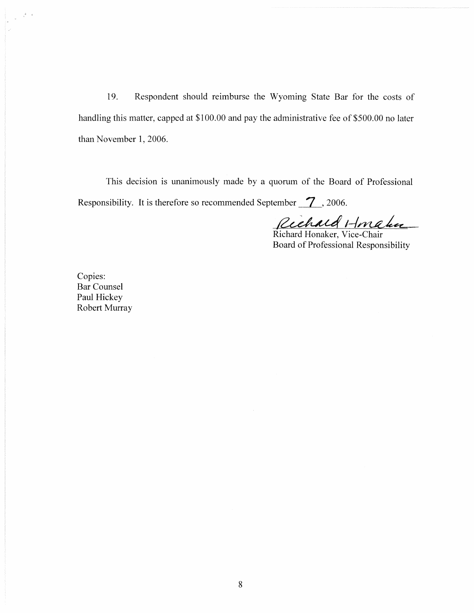19. Respondent should reimburse the Wyoming State Bar for the costs of handling this matter, capped at \$100.00 and pay the administrative fee of \$500.00 no later than November 1, 2006.

This decision is unanimously made by a quorum of the Board of Professional Responsibility. It is therefore so recommended September  $\boxed{7}$ , 2006.

Richard Honaker

Board of Professional Responsibility

Copies: Bar Counsel Paul Hickey Robert Murray

 $\frac{1}{\sqrt{2}}\left(\frac{1}{\sqrt{2}}\right)^2$